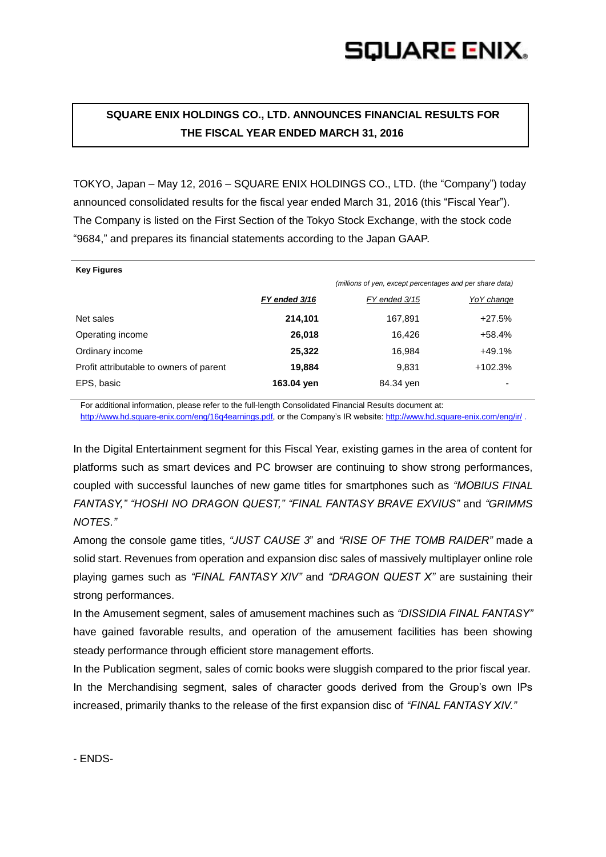## **SQUARE ENIX.**

## **SQUARE ENIX HOLDINGS CO., LTD. ANNOUNCES FINANCIAL RESULTS FOR THE FISCAL YEAR ENDED MARCH 31, 2016**

TOKYO, Japan – May 12, 2016 – SQUARE ENIX HOLDINGS CO., LTD. (the "Company") today announced consolidated results for the fiscal year ended March 31, 2016 (this "Fiscal Year"). The Company is listed on the First Section of the Tokyo Stock Exchange, with the stock code "9684," and prepares its financial statements according to the Japan GAAP.

| <b>Key Figures</b>                      |               |                                                          |            |
|-----------------------------------------|---------------|----------------------------------------------------------|------------|
|                                         |               | (millions of yen, except percentages and per share data) |            |
|                                         | FY ended 3/16 | FY ended 3/15                                            | YoY change |
| Net sales                               | 214,101       | 167,891                                                  | $+27.5%$   |
| Operating income                        | 26,018        | 16.426                                                   | $+58.4%$   |
| Ordinary income                         | 25,322        | 16.984                                                   | $+49.1%$   |
| Profit attributable to owners of parent | 19,884        | 9,831                                                    | $+102.3%$  |
| EPS, basic                              | 163.04 yen    | 84.34 yen                                                |            |

For additional information, please refer to the full-length Consolidated Financial Results document at: [http://www.hd.square-enix.com/eng/16q4earnings.pdf,](http://www.hd.square-enix.com/eng/16q4earnings.pdf) or the Company's IR website: <http://www.hd.square-enix.com/eng/ir/> .

In the Digital Entertainment segment for this Fiscal Year, existing games in the area of content for platforms such as smart devices and PC browser are continuing to show strong performances, coupled with successful launches of new game titles for smartphones such as *"MOBIUS FINAL FANTASY," "HOSHI NO DRAGON QUEST," "FINAL FANTASY BRAVE EXVIUS"* and *"GRIMMS NOTES."*

Among the console game titles, *"JUST CAUSE 3*" and *"RISE OF THE TOMB RAIDER"* made a solid start. Revenues from operation and expansion disc sales of massively multiplayer online role playing games such as *"FINAL FANTASY XIV"* and *"DRAGON QUEST X"* are sustaining their strong performances.

In the Amusement segment, sales of amusement machines such as *"DISSIDIA FINAL FANTASY"* have gained favorable results, and operation of the amusement facilities has been showing steady performance through efficient store management efforts.

In the Publication segment, sales of comic books were sluggish compared to the prior fiscal year. In the Merchandising segment, sales of character goods derived from the Group's own IPs increased, primarily thanks to the release of the first expansion disc of *"FINAL FANTASY XIV."*